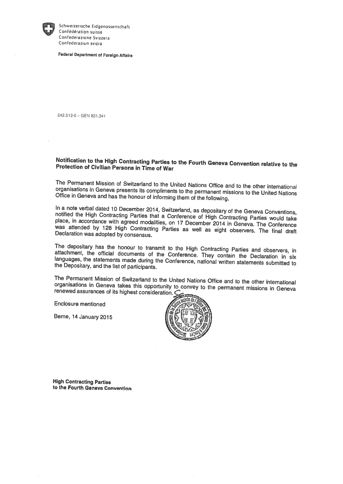

Schweizerische Eidgenossenschaft Confédération suisse Confederazione Svizzera Confecieraziun svizra

Federal Department of Forelgn Atfalrs

242.512-0 — GEN 831.341

## Notification to the High Contracting Parties to the Fourth Geneva Convention relative to the Protection of Civilian Persons in Time of War

The Permanent Mission of Switzeriand to the United Nations Office and to the other international organisations in Geneva presents its compliments to the permanent missions to the United Nations 0ffice in Geneva and has the honour of informing them of the following.

In <sup>a</sup> note verbal dated <sup>10</sup> December 2014, Switzerland, as depositary of the Geneva Conventions, notified the High Contracting Parties that a Conference of High Contracting Parties would take place, in accordance with agreed modalities, on 17 December 2014 in Geneva. The Conference was attended by 128 High Contracting Parties as well as eight observers. The final draft Deciaration was adopted by consensus.

The depositary has the honour to transmit to the High Contracting Parties and observers, in attachment, the official documents ot the Conference. They contain the Deciaration in six languages, the statements made during the Conference, national written statements submitted to the Depositary, and the list of participants.

The Permanent Mission of Switzerland to the United Nations Office and to the other international organisations in Geneva takes this opportunity to convey to the permanent missions in Geneva renewed assurances of its highest consideration.

Enclosure mentioned

Berne, <sup>14</sup> January 2015



High Contracting Parties <sup>10</sup> the Fourth Geneva Convention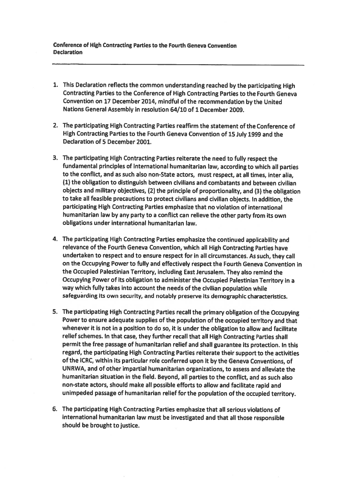Conference of High Contracting Parties to the Fourth Geneva Convention **Declaration** 

- 1. This Deciaration reflects the common understanding reached by the participating High Contracting Parties to the Conference of High Contracting Parties to the Fourth Geneva Convention on 17 December 2014, mindful of the recommendation by the United Nations General Assembly in resolution 64/10 of 1 December 2009.
- 2. The participating High Contracting Parties reaffirm the statement of the Conference of High Contracting Parties to the Fourth Geneva Convention of 15 July 1999 and the Deciaration of 5 December 2001.
- 3. The participating High Contracting Parties reiterate the need to fully respect the fundamental principies of international humanitarian law, according to which all parties to the conflict, and as such also non-State actors, must respect, at all times, inter alia, (1) the obligation to distinguish between civilians and combatants and between civilian objects and military objectives, (2) the principle of proportionality, and (3) the obligation to take all feasible precautions to protect civilians and civilian objects. In addition, the participating High Contracting Parties emphasize that no violation of international humanitarian Iaw by any party to <sup>a</sup> conflict can relieve the other party from its own obligations under international humanitarian law.
- 4. The participating High Contracting Parties emphasize the continued applicability and relevance of the Fourth Geneva Convention, which all High Contracting Parties have undertaken to respect and to ensure respect for in all circumstances. As such, they call on the Occupying Power to fully and effectively respect the Fourth Geneva Convention in the Occupied Palestinian Territory, including East Jerusalem. They also remind the Occupying Power of its obligation to administer the Occupied Palestinian Territory in a way which fully takes into account the needs of the civilian population while safeguarding its own security, and notably preserve its demographic characteristics.
- 5. The participating High Contracting Parties recall the primary obligation of the Occupying Power to ensure adequate supplies of the population of the occupied territory and that whenever it is not in a position to do so, it is under the obligation to allow and facilitate relief schemes. In that case, they further recall that all High Contracting Parties shall permit the free passage of humanitarian relief and shall guarantee its protection. In this regard, the participating High Contracting Parties reiterate their support to the activities of the ICRC, within its particular role conferred upon it by the Geneva Conventions, of UNRWA, and of other impartial humanitarian organizations, to assess and alleviate the humanitarian situation in the field. Beyond, all parties to the conflict, and as such also non-state actors, should make all possible efforts to allow and facilitate rapid and unimpeded passage of humanitarian relief for the population of the occupied territory.
- 6. The participating High Contracting Parties emphasize that all serious violations of international humanitarian law must be investigated and that all those responsible should be brought to justice.